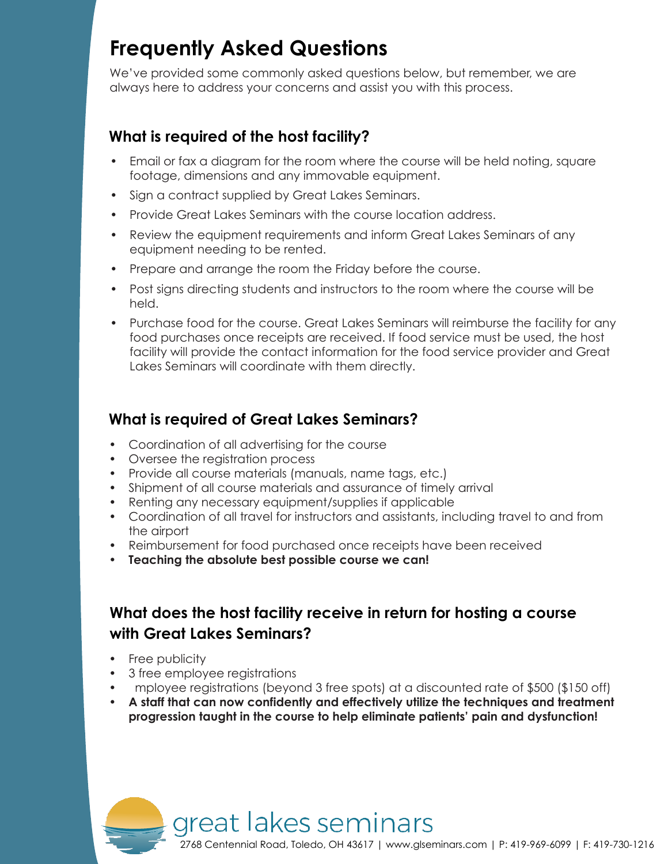## **Frequently Asked Questions**

We've provided some commonly asked questions below, but remember, we are always here to address your concerns and assist you with this process.

### **What is required of the host facility?**

- Email or fax a diagram for the room where the course will be held noting, square footage, dimensions and any immovable equipment.
- Sign a contract supplied by Great Lakes Seminars.
- Provide Great Lakes Seminars with the course location address.
- Review the equipment requirements and inform Great Lakes Seminars of any equipment needing to be rented.
- Prepare and arrange the room the Friday before the course.
- Post signs directing students and instructors to the room where the course will be held.
- Purchase food for the course. Great Lakes Seminars will reimburse the facility for any food purchases once receipts are received. If food service must be used, the host facility will provide the contact information for the food service provider and Great Lakes Seminars will coordinate with them directly.

### **What is required of Great Lakes Seminars?**

- Coordination of all advertising for the course
- Oversee the registration process
- Provide all course materials (manuals, name tags, etc.)
- Shipment of all course materials and assurance of timely arrival

great lakes seminars

- Renting any necessary equipment/supplies if applicable
- Coordination of all travel for instructors and assistants, including travel to and from the airport
- Reimbursement for food purchased once receipts have been received
- **Teaching the absolute best possible course we can!**

### **What does the host facility receive in return for hosting a course with Great Lakes Seminars?**

- Free publicity
- 3 free employee registrations
- mployee registrations (beyond 3 free spots) at a discounted rate of \$500 (\$150 off)
- **A staff that can now confidently and effectively utilize the techniques and treatment progression taught in the course to help eliminate patients' pain and dysfunction!**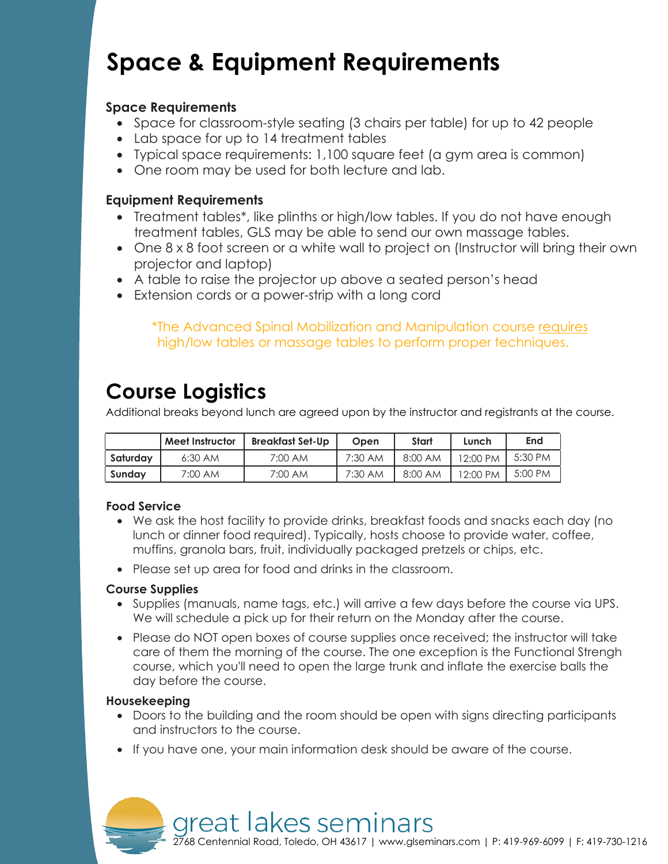# **Space & Equipment Requirements**

### **Space Requirements**

- Space for classroom-style seating (3 chairs per table) for up to 42 people
- Lab space for up to 14 treatment tables
- Typical space requirements: 1,100 square feet (a gym area is common)
- One room may be used for both lecture and lab.

### **Equipment Requirements**

- Treatment tables\*, like plinths or high/low tables. If you do not have enough treatment tables, GLS may be able to send our own massage tables.
- One 8 x 8 foot screen or a white wall to project on (Instructor will bring their own projector and laptop)
- A table to raise the projector up above a seated person's head
- Extension cords or a power-strip with a long cord

\*The Advanced Spinal Mobilization and Manipulation course requires high/low tables or massage tables to perform proper techniques.

## **Course Logistics**

Additional breaks beyond lunch are agreed upon by the instructor and registrants at the course.

|          | Meet Instructor | <b>Breakfast Set-Up</b> | Open    | Start   | Lunch    | End     |
|----------|-----------------|-------------------------|---------|---------|----------|---------|
| Saturday | $6:30$ AM       | 7:00 AM                 | 7:30 AM | 8:00 AM | 12:00 PM | 5:30 PM |
| Sundav   | 7:00 AM         | 7:00 AM                 | 7:30 AM | 8:00 AM | 12:00 PM | 5:00 PM |

### **Food Service**

- We ask the host facility to provide drinks, breakfast foods and snacks each day (no lunch or dinner food required). Typically, hosts choose to provide water, coffee, muffins, granola bars, fruit, individually packaged pretzels or chips, etc.
- Please set up area for food and drinks in the classroom.

### **Course Supplies**

- Supplies (manuals, name tags, etc.) will arrive a few days before the course via UPS. We will schedule a pick up for their return on the Monday after the course.
- Please do NOT open boxes of course supplies once received; the instructor will take care of them the morning of the course. The one exception is the Functional Strengh course, which you'll need to open the large trunk and inflate the exercise balls the day before the course.

### **Housekeeping**

- Doors to the building and the room should be open with signs directing participants and instructors to the course.
- If you have one, your main information desk should be aware of the course.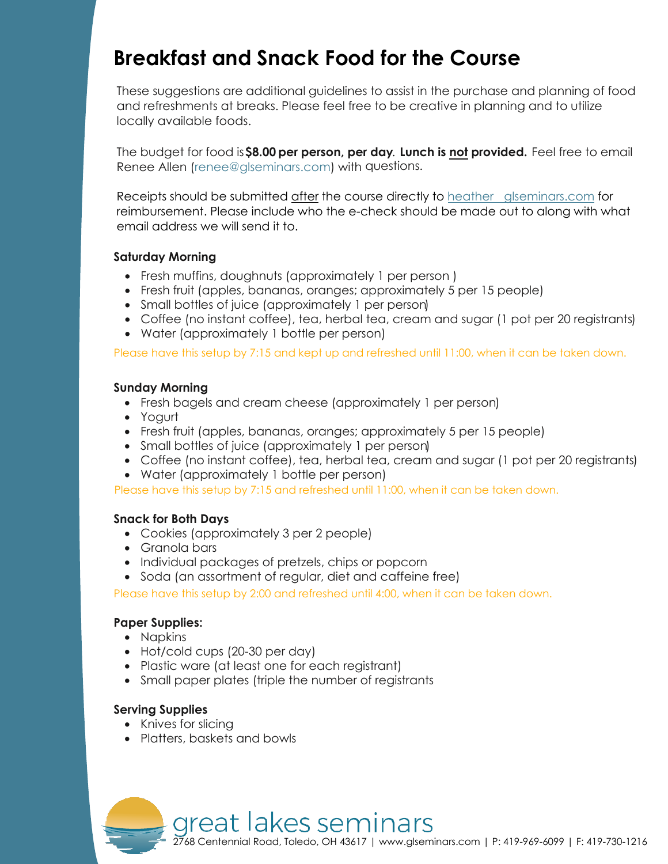## **Breakfast and Snack Food for the Course**

These suggestions are additional guidelines to assist in the purchase and planning of food and refreshments at breaks. Please feel free to be creative in planning and to utilize locally available foods.

The budget for food is **\$8.00 per person, per day**. **Lunch is not provided.** Feel free to email Renee Allen (renee@glseminars.com) with questions.

Receipts should be submitted after the course directly to heather glseminars.com for reimbursement. Please include who the e-check should be made out to along with what email address we will send it to.

#### **Saturday Morning**

- Fresh muffins, doughnuts (approximately 1 per person )
- Fresh fruit (apples, bananas, oranges; approximately 5 per 15 people)
- Small bottles of juice (approximately 1 per person)
- Coffee (no instant coffee), tea, herbal tea, cream and sugar (1 pot per 20 registrants)
- Water (approximately 1 bottle per person)

Please have this setup by 7:15 and kept up and refreshed until 11:00, when it can be taken down.

#### **Sunday Morning**

- Fresh bagels and cream cheese (approximately 1 per person)
- Yogurt
- Fresh fruit (apples, bananas, oranges; approximately 5 per 15 people)
- Small bottles of juice (approximately 1 per person)
- Coffee (no instant coffee), tea, herbal tea, cream and sugar (1 pot per 20 registrants)
- Water (approximately 1 bottle per person)

Please have this setup by 7:15 and refreshed until 11:00, when it can be taken down.

### **Snack for Both Days**

- Cookies (approximately 3 per 2 people)
- Granola bars
- Individual packages of pretzels, chips or popcorn
- Soda (an assortment of regular, diet and caffeine free)

Please have this setup by 2:00 and refreshed until 4:00, when it can be taken down.

### **Paper Supplies:**

- Napkins
- Hot/cold cups (20-30 per day)
- Plastic ware (at least one for each registrant)
- Small paper plates (triple the number of registrants

### **Serving Supplies**

- Knives for slicing
- Platters, baskets and bowls

great lakes seminars 2768 Centennial Road, Toledo, OH [43617 | www.glseminars.com](http://www.glseminars.com/) | P: 419-969-6099 | F: 419-730-1216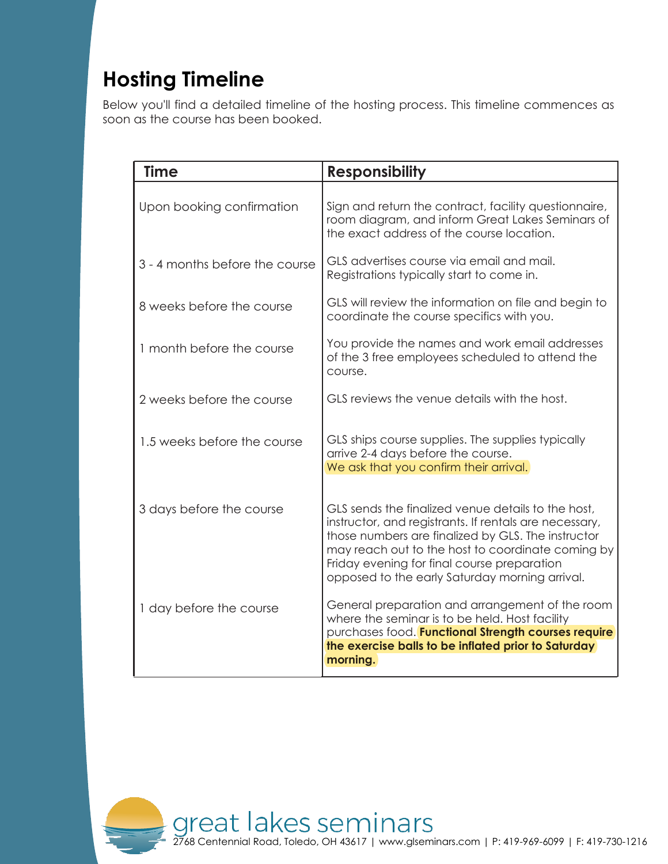# **Hosting Timeline**

Below you'll find a detailed timeline of the hosting process. This timeline commences as soon as the course has been booked.

| <b>Time</b>                    | <b>Responsibility</b>                                                                                                                                                                                                                                                                                                    |
|--------------------------------|--------------------------------------------------------------------------------------------------------------------------------------------------------------------------------------------------------------------------------------------------------------------------------------------------------------------------|
| Upon booking confirmation      | Sign and return the contract, facility questionnaire,<br>room diagram, and inform Great Lakes Seminars of<br>the exact address of the course location.                                                                                                                                                                   |
| 3 - 4 months before the course | GLS advertises course via email and mail.<br>Registrations typically start to come in.                                                                                                                                                                                                                                   |
| 8 weeks before the course      | GLS will review the information on file and begin to<br>coordinate the course specifics with you.                                                                                                                                                                                                                        |
| 1 month before the course      | You provide the names and work email addresses<br>of the 3 free employees scheduled to attend the<br>course.                                                                                                                                                                                                             |
| 2 weeks before the course      | GLS reviews the venue details with the host.                                                                                                                                                                                                                                                                             |
| 1.5 weeks before the course    | GLS ships course supplies. The supplies typically<br>arrive 2-4 days before the course.<br>We ask that you confirm their arrival.                                                                                                                                                                                        |
| 3 days before the course       | GLS sends the finalized venue details to the host,<br>instructor, and registrants. If rentals are necessary,<br>those numbers are finalized by GLS. The instructor<br>may reach out to the host to coordinate coming by<br>Friday evening for final course preparation<br>opposed to the early Saturday morning arrival. |
| 1 day before the course        | General preparation and arrangement of the room<br>where the seminar is to be held. Host facility<br>purchases food. Functional Strength courses require<br>the exercise balls to be inflated prior to Saturday<br>morning.                                                                                              |